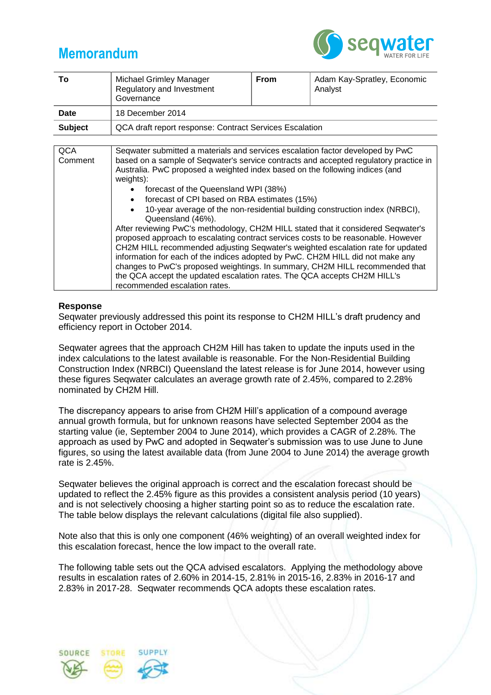## **Memorandum**



| Τо             | <b>Michael Grimley Manager</b><br>Regulatory and Investment<br>Governance | From | Adam Kay-Spratley, Economic<br>Analyst |  |
|----------------|---------------------------------------------------------------------------|------|----------------------------------------|--|
| Date           | 18 December 2014                                                          |      |                                        |  |
| <b>Subject</b> | QCA draft report response: Contract Services Escalation                   |      |                                        |  |
|                |                                                                           |      |                                        |  |

| <b>QCA</b><br>Comment | Seqwater submitted a materials and services escalation factor developed by PwC<br>based on a sample of Seqwater's service contracts and accepted regulatory practice in                                                                                                                                                                     |
|-----------------------|---------------------------------------------------------------------------------------------------------------------------------------------------------------------------------------------------------------------------------------------------------------------------------------------------------------------------------------------|
|                       | Australia. PwC proposed a weighted index based on the following indices (and<br>weights):                                                                                                                                                                                                                                                   |
|                       | • forecast of the Queensland WPI (38%)                                                                                                                                                                                                                                                                                                      |
|                       | forecast of CPI based on RBA estimates (15%)                                                                                                                                                                                                                                                                                                |
|                       | 10-year average of the non-residential building construction index (NRBCI),<br>Queensland (46%).                                                                                                                                                                                                                                            |
|                       | After reviewing PwC's methodology, CH2M HILL stated that it considered Seqwater's<br>proposed approach to escalating contract services costs to be reasonable. However<br>CH2M HILL recommended adjusting Seqwater's weighted escalation rate for updated<br>information for each of the indices adopted by PwC. CH2M HILL did not make any |
|                       | changes to PwC's proposed weightings. In summary, CH2M HILL recommended that                                                                                                                                                                                                                                                                |
|                       | the QCA accept the updated escalation rates. The QCA accepts CH2M HILL's                                                                                                                                                                                                                                                                    |
|                       | recommended escalation rates.                                                                                                                                                                                                                                                                                                               |

## **Response**

Seqwater previously addressed this point its response to CH2M HILL's draft prudency and efficiency report in October 2014.

Seqwater agrees that the approach CH2M Hill has taken to update the inputs used in the index calculations to the latest available is reasonable. For the Non-Residential Building Construction Index (NRBCI) Queensland the latest release is for June 2014, however using these figures Seqwater calculates an average growth rate of 2.45%, compared to 2.28% nominated by CH2M Hill.

The discrepancy appears to arise from CH2M Hill's application of a compound average annual growth formula, but for unknown reasons have selected September 2004 as the starting value (ie, September 2004 to June 2014), which provides a CAGR of 2.28%. The approach as used by PwC and adopted in Seqwater's submission was to use June to June figures, so using the latest available data (from June 2004 to June 2014) the average growth rate is 2.45%.

Seqwater believes the original approach is correct and the escalation forecast should be updated to reflect the 2.45% figure as this provides a consistent analysis period (10 years) and is not selectively choosing a higher starting point so as to reduce the escalation rate. The table below displays the relevant calculations (digital file also supplied).

Note also that this is only one component (46% weighting) of an overall weighted index for this escalation forecast, hence the low impact to the overall rate.

The following table sets out the QCA advised escalators. Applying the methodology above results in escalation rates of 2.60% in 2014-15, 2.81% in 2015-16, 2.83% in 2016-17 and 2.83% in 2017-28. Seqwater recommends QCA adopts these escalation rates.